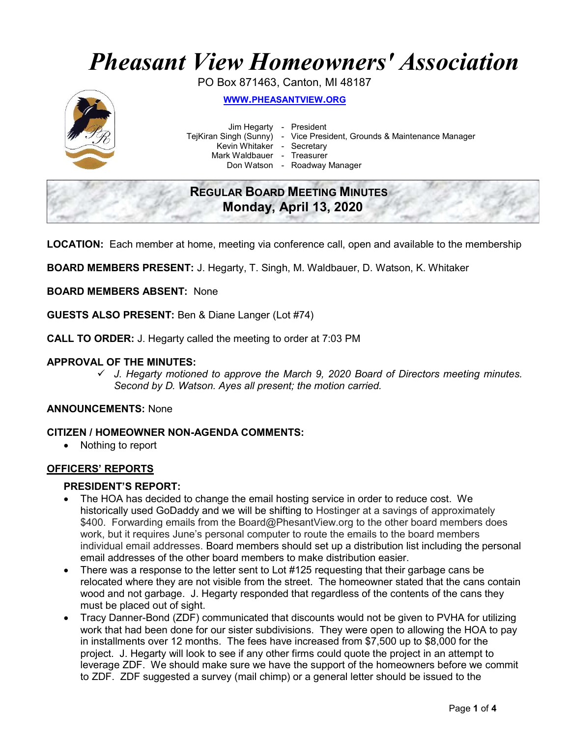# Pheasant View Homeowners' Association

PO Box 871463, Canton, MI 48187



WWW.PHEASANTVIEW.ORG

Jim Hegarty - President

TejKiran Singh (Sunny) - Vice President, Grounds & Maintenance Manager

Kevin Whitaker - Secretary

Mark Waldbauer - Treasurer

Don Watson - Roadway Manager

### REGULAR BOARD MEETING MINUTES Monday, April 13, 2020

LOCATION: Each member at home, meeting via conference call, open and available to the membership

BOARD MEMBERS PRESENT: J. Hegarty, T. Singh, M. Waldbauer, D. Watson, K. Whitaker

BOARD MEMBERS ABSENT: None

GUESTS ALSO PRESENT: Ben & Diane Langer (Lot #74)

CALL TO ORDER: J. Hegarty called the meeting to order at 7:03 PM

#### APPROVAL OF THE MINUTES:

 $\checkmark$  J. Hegarty motioned to approve the March 9, 2020 Board of Directors meeting minutes. Second by D. Watson. Ayes all present; the motion carried.

#### ANNOUNCEMENTS: None

#### CITIZEN / HOMEOWNER NON-AGENDA COMMENTS:

• Nothing to report

#### OFFICERS' REPORTS

#### PRESIDENT'S REPORT:

- The HOA has decided to change the email hosting service in order to reduce cost. We historically used GoDaddy and we will be shifting to Hostinger at a savings of approximately \$400. Forwarding emails from the Board@PhesantView.org to the other board members does work, but it requires June's personal computer to route the emails to the board members individual email addresses. Board members should set up a distribution list including the personal email addresses of the other board members to make distribution easier.
- There was a response to the letter sent to Lot #125 requesting that their garbage cans be relocated where they are not visible from the street. The homeowner stated that the cans contain wood and not garbage. J. Hegarty responded that regardless of the contents of the cans they must be placed out of sight.
- Tracy Danner-Bond (ZDF) communicated that discounts would not be given to PVHA for utilizing work that had been done for our sister subdivisions. They were open to allowing the HOA to pay in installments over 12 months. The fees have increased from \$7,500 up to \$8,000 for the project. J. Hegarty will look to see if any other firms could quote the project in an attempt to leverage ZDF. We should make sure we have the support of the homeowners before we commit to ZDF. ZDF suggested a survey (mail chimp) or a general letter should be issued to the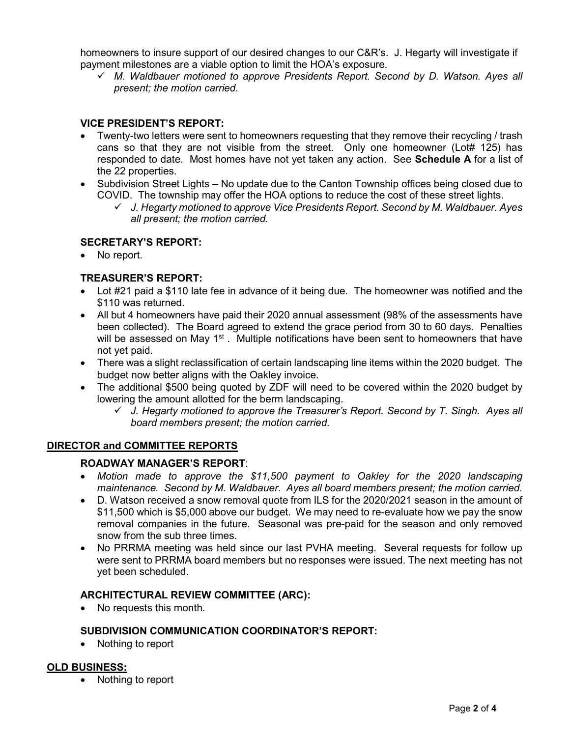homeowners to insure support of our desired changes to our C&R's. J. Hegarty will investigate if payment milestones are a viable option to limit the HOA's exposure.

 $\checkmark$  M. Waldbauer motioned to approve Presidents Report. Second by D. Watson. Ayes all present; the motion carried.

#### VICE PRESIDENT'S REPORT:

- Twenty-two letters were sent to homeowners requesting that they remove their recycling / trash cans so that they are not visible from the street. Only one homeowner (Lot# 125) has responded to date. Most homes have not yet taken any action. See **Schedule A** for a list of the 22 properties.
- Subdivision Street Lights No update due to the Canton Township offices being closed due to COVID. The township may offer the HOA options to reduce the cost of these street lights.
	- $\checkmark$  J. Hegarty motioned to approve Vice Presidents Report. Second by M. Waldbauer. Ayes all present; the motion carried.

#### SECRETARY'S REPORT:

No report.

#### TREASURER'S REPORT:

- Lot #21 paid a \$110 late fee in advance of it being due. The homeowner was notified and the \$110 was returned.
- All but 4 homeowners have paid their 2020 annual assessment (98% of the assessments have been collected). The Board agreed to extend the grace period from 30 to 60 days. Penalties will be assessed on May  $1<sup>st</sup>$ . Multiple notifications have been sent to homeowners that have not yet paid.
- There was a slight reclassification of certain landscaping line items within the 2020 budget. The budget now better aligns with the Oakley invoice.
- The additional \$500 being quoted by ZDF will need to be covered within the 2020 budget by lowering the amount allotted for the berm landscaping.
	- $\checkmark$  J. Hegarty motioned to approve the Treasurer's Report. Second by T. Singh. Ayes all board members present; the motion carried.

#### DIRECTOR and COMMITTEE REPORTS

#### ROADWAY MANAGER'S REPORT:

- Motion made to approve the \$11,500 payment to Oakley for the 2020 landscaping maintenance. Second by M. Waldbauer. Ayes all board members present; the motion carried.
- D. Watson received a snow removal quote from ILS for the 2020/2021 season in the amount of \$11,500 which is \$5,000 above our budget. We may need to re-evaluate how we pay the snow removal companies in the future. Seasonal was pre-paid for the season and only removed snow from the sub three times.
- No PRRMA meeting was held since our last PVHA meeting. Several requests for follow up were sent to PRRMA board members but no responses were issued. The next meeting has not yet been scheduled.

#### ARCHITECTURAL REVIEW COMMITTEE (ARC):

No requests this month.

#### SUBDIVISION COMMUNICATION COORDINATOR'S REPORT:

• Nothing to report

#### OLD BUSINESS:

• Nothing to report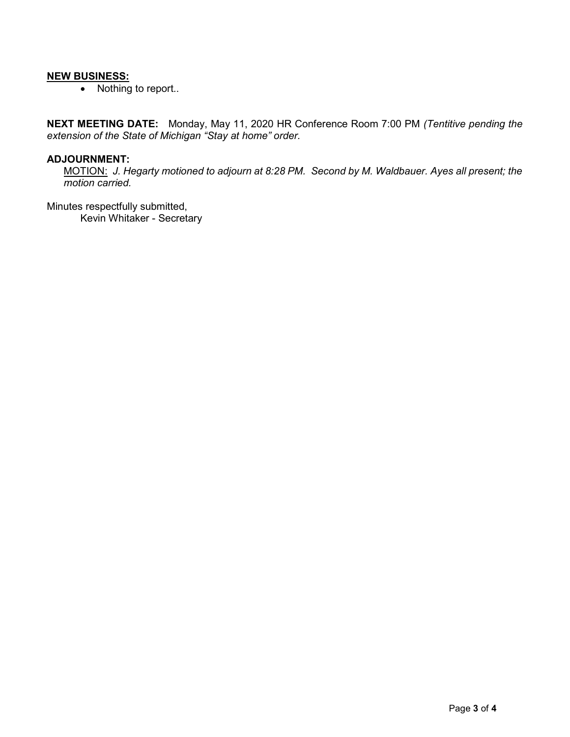#### **NEW BUSINESS:**

• Nothing to report..

NEXT MEETING DATE: Monday, May 11, 2020 HR Conference Room 7:00 PM (Tentitive pending the extension of the State of Michigan "Stay at home" order.

#### ADJOURNMENT:

MOTION: J. Hegarty motioned to adjourn at 8:28 PM. Second by M. Waldbauer. Ayes all present; the motion carried.

Minutes respectfully submitted, Kevin Whitaker - Secretary